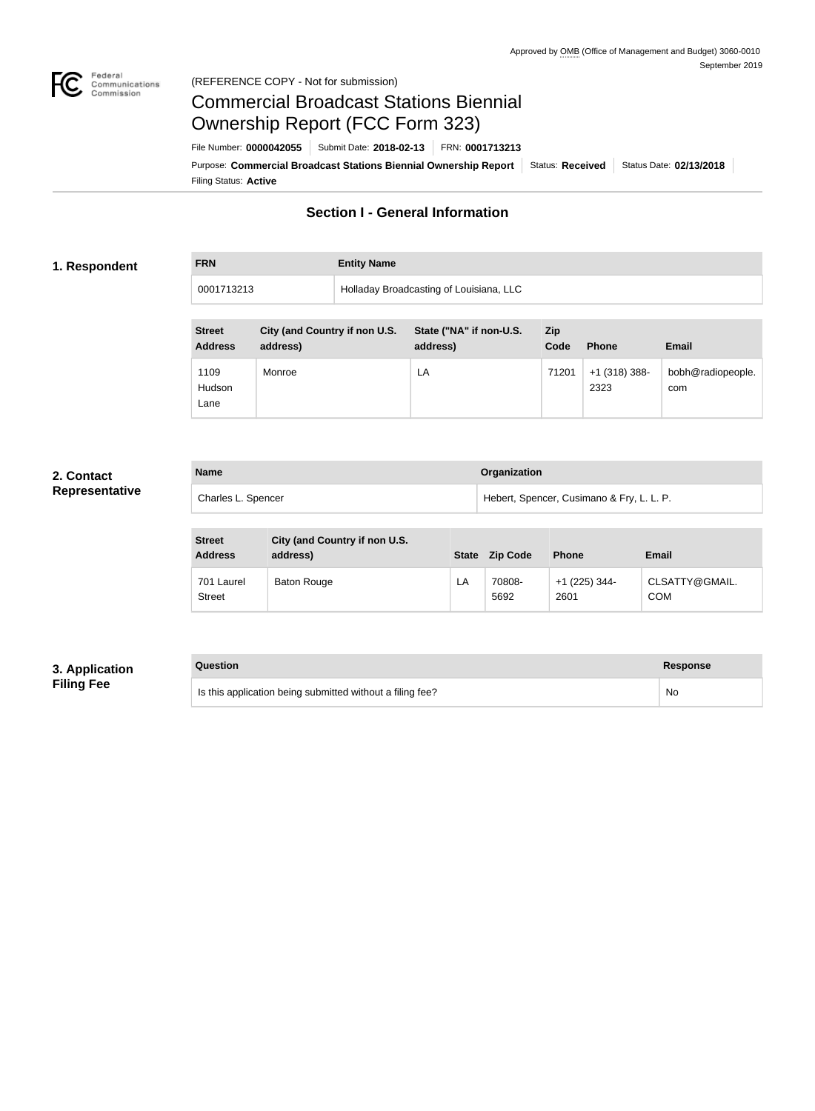

# Commercial Broadcast Stations Biennial Ownership Report (FCC Form 323)

Filing Status: **Active** Purpose: Commercial Broadcast Stations Biennial Ownership Report Status: Received Status Date: 02/13/2018 File Number: **0000042055** Submit Date: **2018-02-13** FRN: **0001713213**

## **Section I - General Information**

#### **1. Respondent**

**FRN Entity Name**

0001713213 Holladay Broadcasting of Louisiana, LLC

| <b>Street</b><br><b>Address</b> | City (and Country if non U.S.<br>address) | State ("NA" if non-U.S.<br>address) | Zip<br>Code | <b>Phone</b>            | <b>Email</b>             |
|---------------------------------|-------------------------------------------|-------------------------------------|-------------|-------------------------|--------------------------|
| 1109<br>Hudson<br>Lane          | Monroe                                    | LA                                  | 71201       | $+1$ (318) 388-<br>2323 | bobh@radiopeople.<br>com |

#### **2. Contact Representative**

| <b>Name</b>        | Organization                              |
|--------------------|-------------------------------------------|
| Charles L. Spencer | Hebert, Spencer, Cusimano & Fry, L. L. P. |

| <b>Street</b><br><b>Address</b> | City (and Country if non U.S.<br>address) | <b>State</b> | <b>Zip Code</b> | <b>Phone</b>            | <b>Email</b>                 |
|---------------------------------|-------------------------------------------|--------------|-----------------|-------------------------|------------------------------|
| 701 Laurel<br><b>Street</b>     | <b>Baton Rouge</b>                        | LA           | 70808-<br>5692  | $+1$ (225) 344-<br>2601 | CLSATTY@GMAIL.<br><b>COM</b> |

### **3. Application Filing Fee**

## **Question Response** Is this application being submitted without a filing fee? No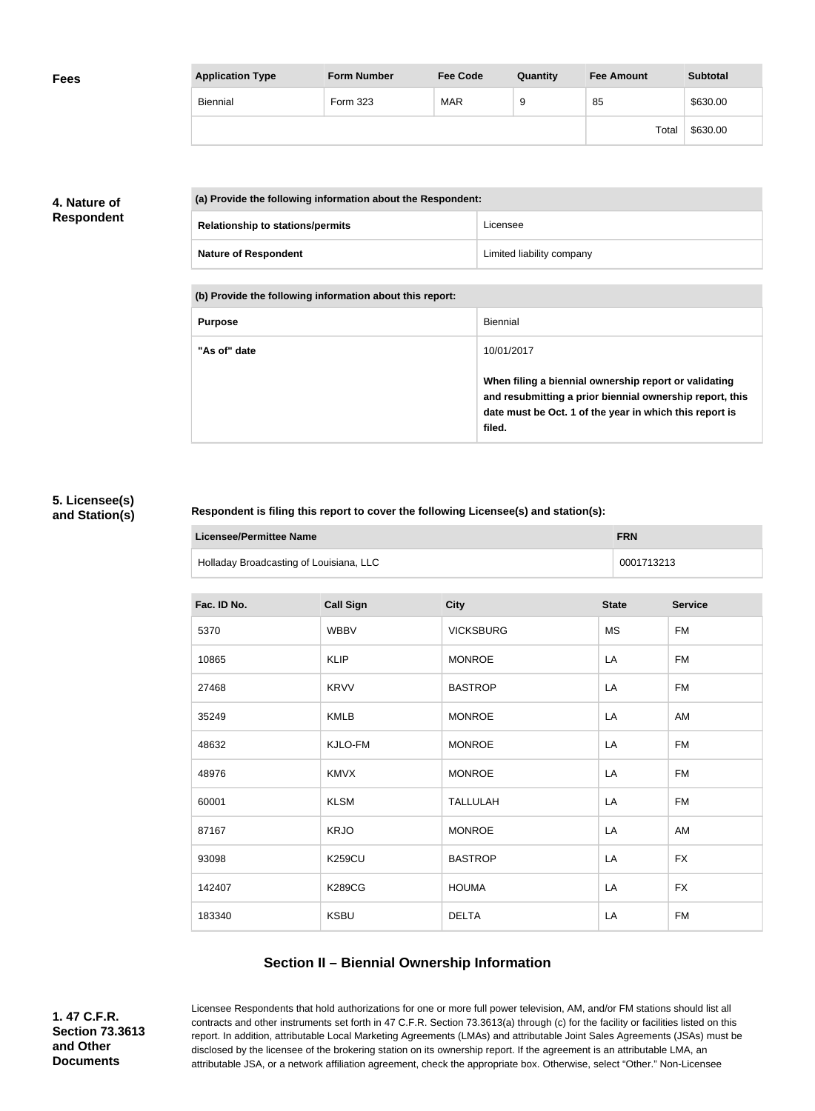| <b>Fees</b> | <b>Application Type</b> | <b>Form Number</b> | <b>Fee Code</b> | Quantity | <b>Fee Amount</b> | <b>Subtotal</b> |
|-------------|-------------------------|--------------------|-----------------|----------|-------------------|-----------------|
|             | Biennial                | Form 323           | <b>MAR</b>      |          | 85                | \$630.00        |
|             |                         |                    |                 |          | Total             | \$630.00        |

## **4. Nature of Respondent**

| (a) Provide the following information about the Respondent: |                           |  |
|-------------------------------------------------------------|---------------------------|--|
| <b>Relationship to stations/permits</b>                     | Licensee                  |  |
| <b>Nature of Respondent</b>                                 | Limited liability company |  |

**(b) Provide the following information about this report:**

| <b>Purpose</b> | Biennial                                                                                                                                                                               |
|----------------|----------------------------------------------------------------------------------------------------------------------------------------------------------------------------------------|
| "As of" date   | 10/01/2017                                                                                                                                                                             |
|                | When filing a biennial ownership report or validating<br>and resubmitting a prior biennial ownership report, this<br>date must be Oct. 1 of the year in which this report is<br>filed. |

#### **5. Licensee(s) and Station(s)**

#### **Respondent is filing this report to cover the following Licensee(s) and station(s):**

| Licensee/Permittee Name                 | <b>FRN</b> |
|-----------------------------------------|------------|
| Holladay Broadcasting of Louisiana, LLC | 0001713213 |

| Fac. ID No. | <b>Call Sign</b> | <b>City</b>      | <b>State</b> | <b>Service</b> |
|-------------|------------------|------------------|--------------|----------------|
| 5370        | <b>WBBV</b>      | <b>VICKSBURG</b> | <b>MS</b>    | <b>FM</b>      |
| 10865       | <b>KLIP</b>      | <b>MONROE</b>    | LA           | <b>FM</b>      |
| 27468       | <b>KRVV</b>      | <b>BASTROP</b>   | LA           | <b>FM</b>      |
| 35249       | <b>KMLB</b>      | <b>MONROE</b>    | LA           | AM             |
| 48632       | KJLO-FM          | <b>MONROE</b>    | LA           | <b>FM</b>      |
| 48976       | <b>KMVX</b>      | <b>MONROE</b>    | LA           | FM             |
| 60001       | <b>KLSM</b>      | <b>TALLULAH</b>  | LA           | FM             |
| 87167       | <b>KRJO</b>      | <b>MONROE</b>    | LA           | AM             |
| 93098       | <b>K259CU</b>    | <b>BASTROP</b>   | LA           | <b>FX</b>      |
| 142407      | <b>K289CG</b>    | <b>HOUMA</b>     | LA           | <b>FX</b>      |
| 183340      | <b>KSBU</b>      | <b>DELTA</b>     | LA           | <b>FM</b>      |

## **Section II – Biennial Ownership Information**

**1. 47 C.F.R. Section 73.3613 and Other Documents**

Licensee Respondents that hold authorizations for one or more full power television, AM, and/or FM stations should list all contracts and other instruments set forth in 47 C.F.R. Section 73.3613(a) through (c) for the facility or facilities listed on this report. In addition, attributable Local Marketing Agreements (LMAs) and attributable Joint Sales Agreements (JSAs) must be disclosed by the licensee of the brokering station on its ownership report. If the agreement is an attributable LMA, an attributable JSA, or a network affiliation agreement, check the appropriate box. Otherwise, select "Other." Non-Licensee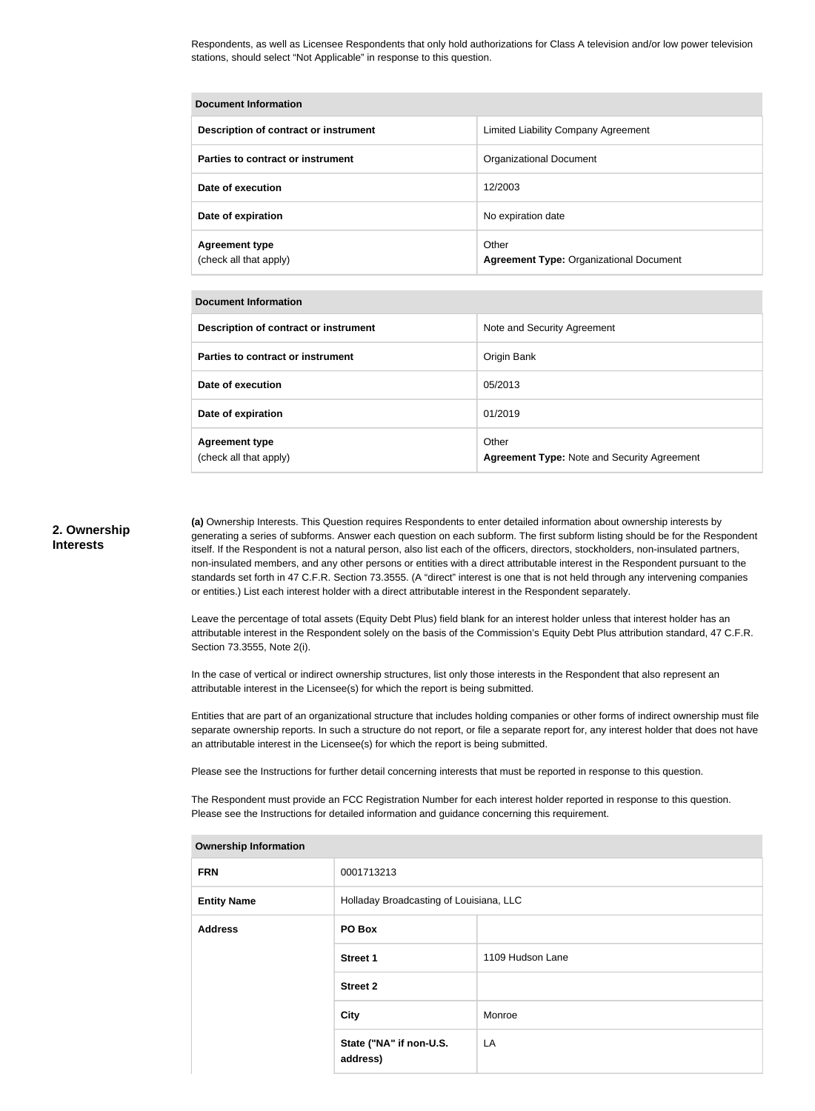Respondents, as well as Licensee Respondents that only hold authorizations for Class A television and/or low power television stations, should select "Not Applicable" in response to this question.

| <b>Document Information</b>                     |                                                         |  |
|-------------------------------------------------|---------------------------------------------------------|--|
| Description of contract or instrument           | Limited Liability Company Agreement                     |  |
| Parties to contract or instrument               | <b>Organizational Document</b>                          |  |
| Date of execution                               | 12/2003                                                 |  |
| Date of expiration                              | No expiration date                                      |  |
| <b>Agreement type</b><br>(check all that apply) | Other<br><b>Agreement Type: Organizational Document</b> |  |

#### **Document Information**

| Description of contract or instrument           | Note and Security Agreement                                 |
|-------------------------------------------------|-------------------------------------------------------------|
| Parties to contract or instrument               | Origin Bank                                                 |
| Date of execution                               | 05/2013                                                     |
| Date of expiration                              | 01/2019                                                     |
| <b>Agreement type</b><br>(check all that apply) | Other<br><b>Agreement Type: Note and Security Agreement</b> |

#### **2. Ownership Interests**

**(a)** Ownership Interests. This Question requires Respondents to enter detailed information about ownership interests by generating a series of subforms. Answer each question on each subform. The first subform listing should be for the Respondent itself. If the Respondent is not a natural person, also list each of the officers, directors, stockholders, non-insulated partners, non-insulated members, and any other persons or entities with a direct attributable interest in the Respondent pursuant to the standards set forth in 47 C.F.R. Section 73.3555. (A "direct" interest is one that is not held through any intervening companies or entities.) List each interest holder with a direct attributable interest in the Respondent separately.

Leave the percentage of total assets (Equity Debt Plus) field blank for an interest holder unless that interest holder has an attributable interest in the Respondent solely on the basis of the Commission's Equity Debt Plus attribution standard, 47 C.F.R. Section 73.3555, Note 2(i).

In the case of vertical or indirect ownership structures, list only those interests in the Respondent that also represent an attributable interest in the Licensee(s) for which the report is being submitted.

Entities that are part of an organizational structure that includes holding companies or other forms of indirect ownership must file separate ownership reports. In such a structure do not report, or file a separate report for, any interest holder that does not have an attributable interest in the Licensee(s) for which the report is being submitted.

Please see the Instructions for further detail concerning interests that must be reported in response to this question.

The Respondent must provide an FCC Registration Number for each interest holder reported in response to this question. Please see the Instructions for detailed information and guidance concerning this requirement.

| the contract of the contract of the contract of the contract of the contract of the contract of the contract of |                                         |                  |  |
|-----------------------------------------------------------------------------------------------------------------|-----------------------------------------|------------------|--|
| <b>FRN</b>                                                                                                      | 0001713213                              |                  |  |
| <b>Entity Name</b>                                                                                              | Holladay Broadcasting of Louisiana, LLC |                  |  |
| <b>Address</b>                                                                                                  | PO Box                                  |                  |  |
|                                                                                                                 | <b>Street 1</b>                         | 1109 Hudson Lane |  |
|                                                                                                                 | <b>Street 2</b>                         |                  |  |
|                                                                                                                 | <b>City</b>                             | Monroe           |  |
|                                                                                                                 | State ("NA" if non-U.S.<br>address)     | LA               |  |
|                                                                                                                 |                                         |                  |  |

#### **Ownership Information**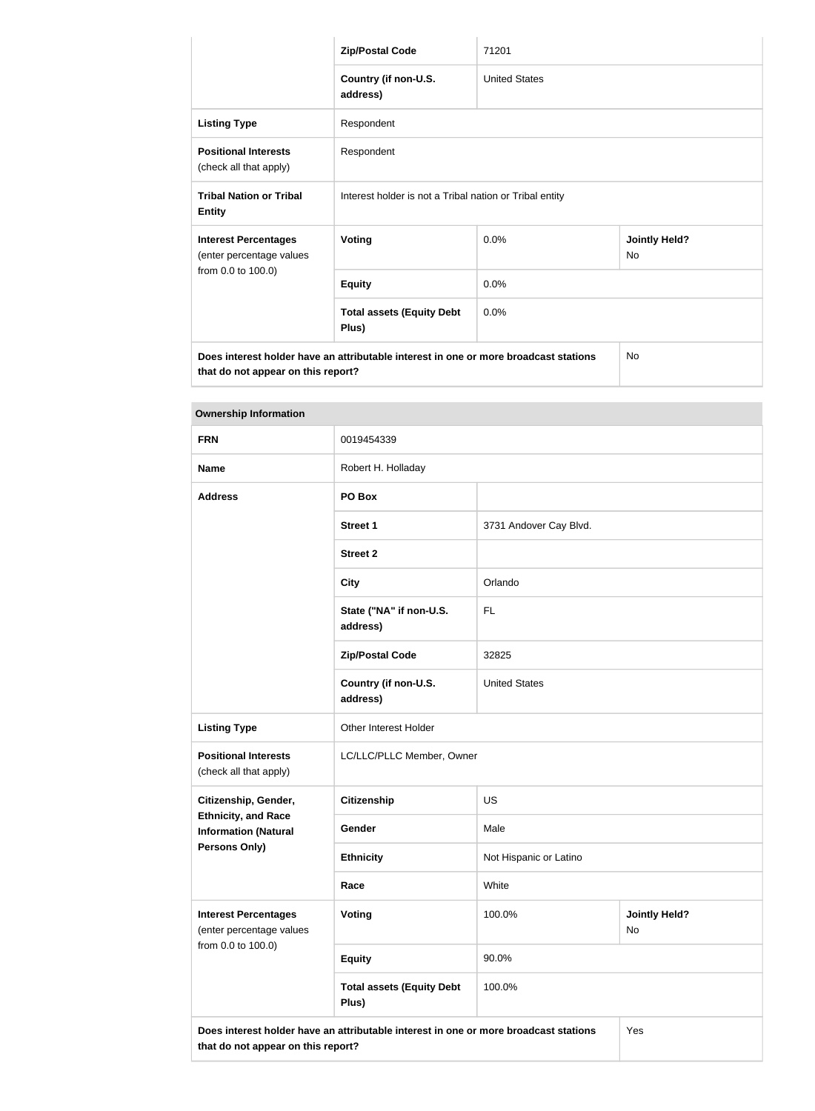|                                                         | <b>Zip/Postal Code</b>                                                               | 71201                |                                   |  |
|---------------------------------------------------------|--------------------------------------------------------------------------------------|----------------------|-----------------------------------|--|
|                                                         | Country (if non-U.S.<br>address)                                                     | <b>United States</b> |                                   |  |
| <b>Listing Type</b>                                     | Respondent                                                                           |                      |                                   |  |
| <b>Positional Interests</b><br>(check all that apply)   | Respondent                                                                           |                      |                                   |  |
| <b>Tribal Nation or Tribal</b><br><b>Entity</b>         | Interest holder is not a Tribal nation or Tribal entity                              |                      |                                   |  |
| <b>Interest Percentages</b><br>(enter percentage values | <b>Voting</b>                                                                        | $0.0\%$              | <b>Jointly Held?</b><br><b>No</b> |  |
| from 0.0 to 100.0)                                      | <b>Equity</b>                                                                        | 0.0%                 |                                   |  |
|                                                         | <b>Total assets (Equity Debt</b><br>Plus)                                            | 0.0%                 |                                   |  |
|                                                         | Does interest holder have an attributable interest in one or more broadcast stations |                      | <b>No</b>                         |  |

**that do not appear on this report?**

| <b>Ownership Information</b>                              |                                                                                             |                        |                            |
|-----------------------------------------------------------|---------------------------------------------------------------------------------------------|------------------------|----------------------------|
| <b>FRN</b>                                                | 0019454339                                                                                  |                        |                            |
| <b>Name</b>                                               | Robert H. Holladay                                                                          |                        |                            |
| <b>Address</b>                                            | PO Box                                                                                      |                        |                            |
|                                                           | <b>Street 1</b>                                                                             | 3731 Andover Cay Blvd. |                            |
|                                                           | <b>Street 2</b>                                                                             |                        |                            |
|                                                           | <b>City</b>                                                                                 | Orlando                |                            |
|                                                           | State ("NA" if non-U.S.<br>address)                                                         | <b>FL</b>              |                            |
|                                                           | <b>Zip/Postal Code</b>                                                                      | 32825                  |                            |
|                                                           | Country (if non-U.S.<br>address)                                                            | <b>United States</b>   |                            |
| <b>Listing Type</b>                                       | Other Interest Holder                                                                       |                        |                            |
| <b>Positional Interests</b><br>(check all that apply)     | LC/LLC/PLLC Member, Owner                                                                   |                        |                            |
| Citizenship, Gender,                                      | <b>Citizenship</b>                                                                          | <b>US</b>              |                            |
| <b>Ethnicity, and Race</b><br><b>Information (Natural</b> | Gender                                                                                      | Male                   |                            |
| Persons Only)                                             | <b>Ethnicity</b>                                                                            | Not Hispanic or Latino |                            |
|                                                           | Race                                                                                        | White                  |                            |
| <b>Interest Percentages</b><br>(enter percentage values   | <b>Voting</b>                                                                               | 100.0%                 | <b>Jointly Held?</b><br>No |
| from 0.0 to 100.0)                                        | <b>Equity</b>                                                                               | 90.0%                  |                            |
|                                                           | <b>Total assets (Equity Debt</b><br>Plus)                                                   | 100.0%                 |                            |
| that do not appear on this report?                        | Does interest holder have an attributable interest in one or more broadcast stations<br>Yes |                        |                            |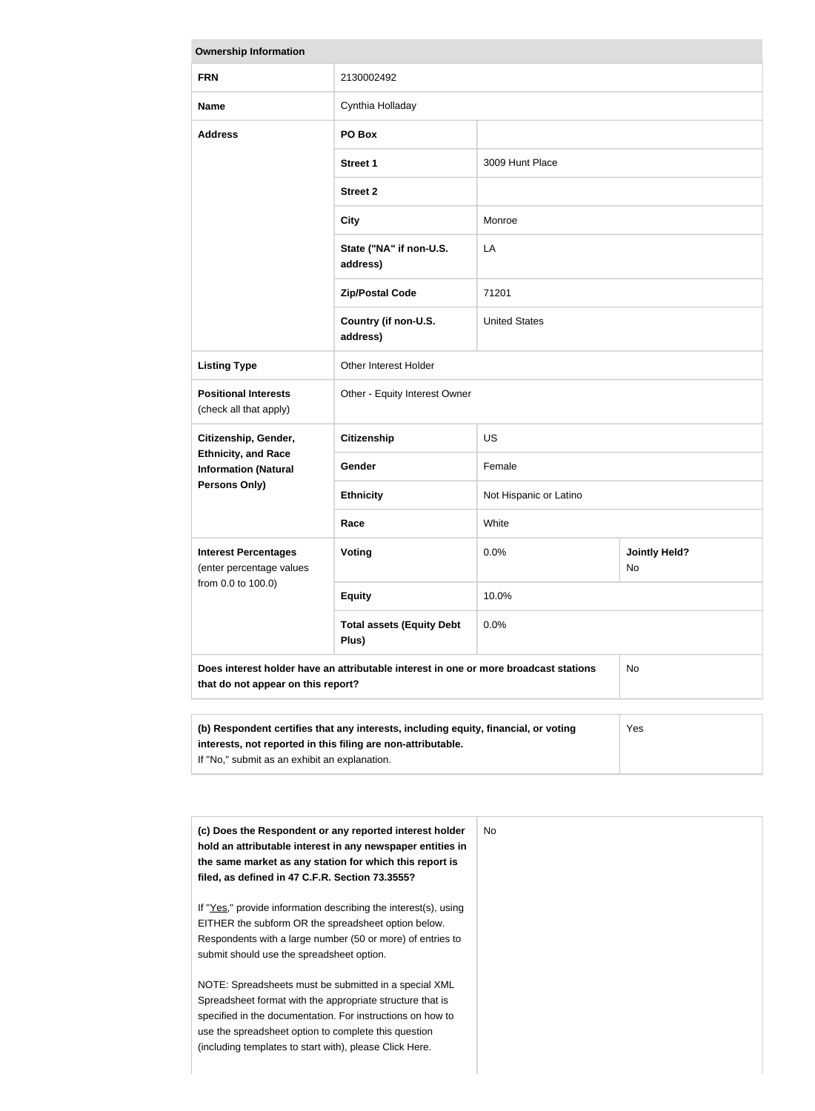| <b>Ownership Information</b>                              |                                                                                            |                        |                            |
|-----------------------------------------------------------|--------------------------------------------------------------------------------------------|------------------------|----------------------------|
| <b>FRN</b>                                                | 2130002492                                                                                 |                        |                            |
| <b>Name</b>                                               | Cynthia Holladay                                                                           |                        |                            |
| <b>Address</b>                                            | PO Box                                                                                     |                        |                            |
|                                                           | <b>Street 1</b>                                                                            | 3009 Hunt Place        |                            |
|                                                           | <b>Street 2</b>                                                                            |                        |                            |
|                                                           | <b>City</b>                                                                                | Monroe                 |                            |
|                                                           | State ("NA" if non-U.S.<br>address)                                                        | LA                     |                            |
|                                                           | <b>Zip/Postal Code</b>                                                                     | 71201                  |                            |
|                                                           | Country (if non-U.S.<br>address)                                                           | <b>United States</b>   |                            |
| <b>Listing Type</b>                                       | Other Interest Holder                                                                      |                        |                            |
| <b>Positional Interests</b><br>(check all that apply)     | Other - Equity Interest Owner                                                              |                        |                            |
| Citizenship, Gender,                                      | <b>Citizenship</b>                                                                         | <b>US</b>              |                            |
| <b>Ethnicity, and Race</b><br><b>Information (Natural</b> | Gender                                                                                     | Female                 |                            |
| <b>Persons Only)</b>                                      | <b>Ethnicity</b>                                                                           | Not Hispanic or Latino |                            |
|                                                           | Race                                                                                       | White                  |                            |
| <b>Interest Percentages</b><br>(enter percentage values   | <b>Voting</b>                                                                              | 0.0%                   | <b>Jointly Held?</b><br>No |
| from 0.0 to 100.0)                                        | <b>Equity</b>                                                                              | 10.0%                  |                            |
|                                                           | <b>Total assets (Equity Debt</b><br>Plus)                                                  | 0.0%                   |                            |
| that do not appear on this report?                        | Does interest holder have an attributable interest in one or more broadcast stations<br>No |                        |                            |
|                                                           |                                                                                            |                        |                            |
|                                                           | (b) Respondent certifies that any interests, including equity, financial, or voting        |                        | Yes                        |

| (b) Respondent certifies that any interests, including equity, financial, or voting | Yes |
|-------------------------------------------------------------------------------------|-----|
| interests, not reported in this filing are non-attributable.                        |     |
| If "No," submit as an exhibit an explanation.                                       |     |
|                                                                                     |     |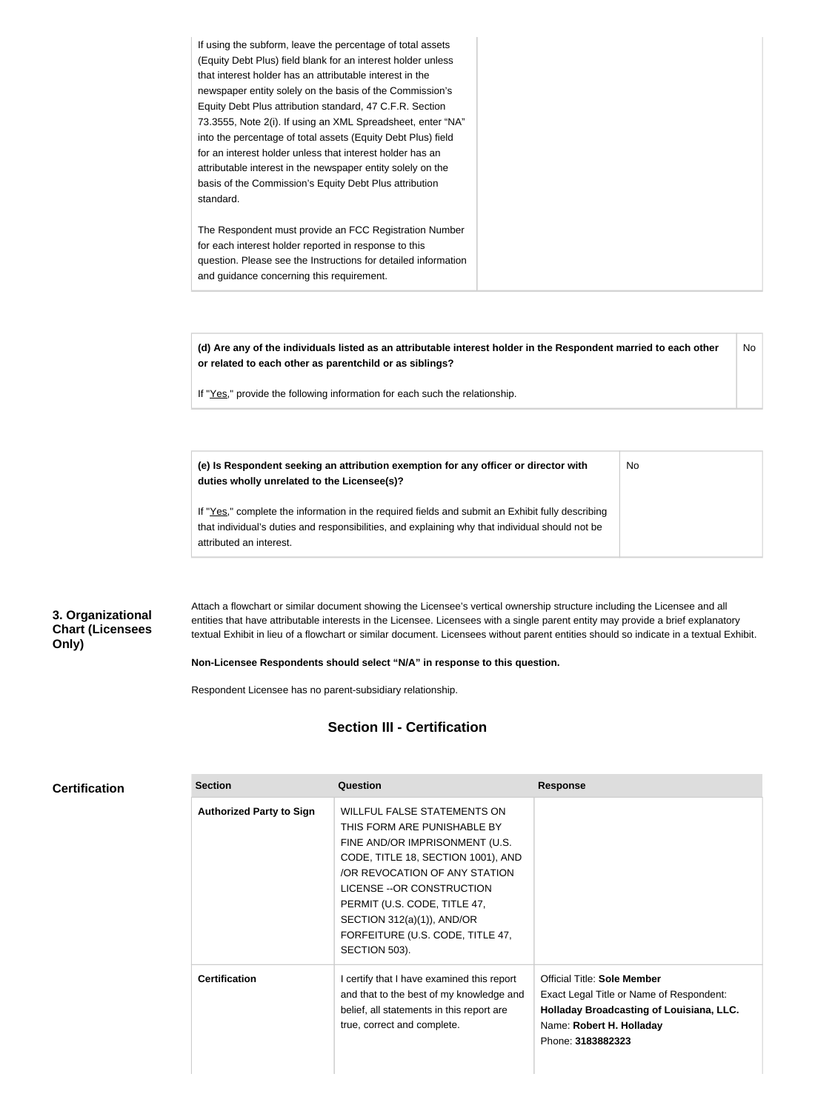| If using the subform, leave the percentage of total assets     |
|----------------------------------------------------------------|
| (Equity Debt Plus) field blank for an interest holder unless   |
| that interest holder has an attributable interest in the       |
| newspaper entity solely on the basis of the Commission's       |
| Equity Debt Plus attribution standard, 47 C.F.R. Section       |
| 73.3555, Note 2(i). If using an XML Spreadsheet, enter "NA"    |
| into the percentage of total assets (Equity Debt Plus) field   |
| for an interest holder unless that interest holder has an      |
| attributable interest in the newspaper entity solely on the    |
| basis of the Commission's Equity Debt Plus attribution         |
| standard.                                                      |
|                                                                |
| The Respondent must provide an FCC Registration Number         |
| for each interest holder reported in response to this          |
| question. Please see the Instructions for detailed information |
| and guidance concerning this requirement.                      |
|                                                                |

**(d) Are any of the individuals listed as an attributable interest holder in the Respondent married to each other or related to each other as parentchild or as siblings?** No

No

If "Yes," provide the following information for each such the relationship.

**(e) Is Respondent seeking an attribution exemption for any officer or director with duties wholly unrelated to the Licensee(s)?**

If "Yes," complete the information in the required fields and submit an Exhibit fully describing that individual's duties and responsibilities, and explaining why that individual should not be attributed an interest.

#### **3. Organizational Chart (Licensees Only)**

Attach a flowchart or similar document showing the Licensee's vertical ownership structure including the Licensee and all entities that have attributable interests in the Licensee. Licensees with a single parent entity may provide a brief explanatory textual Exhibit in lieu of a flowchart or similar document. Licensees without parent entities should so indicate in a textual Exhibit.

#### **Non-Licensee Respondents should select "N/A" in response to this question.**

Respondent Licensee has no parent-subsidiary relationship.

#### **Section III - Certification**

| <b>Certification</b> |  |  |  |  |  |
|----------------------|--|--|--|--|--|
|----------------------|--|--|--|--|--|

| <b>Section</b>                  | Question                                                                                                                                                                                                                                                                                                                    | <b>Response</b>                                                                                                                                                      |
|---------------------------------|-----------------------------------------------------------------------------------------------------------------------------------------------------------------------------------------------------------------------------------------------------------------------------------------------------------------------------|----------------------------------------------------------------------------------------------------------------------------------------------------------------------|
| <b>Authorized Party to Sign</b> | <b>WILLFUL FALSE STATEMENTS ON</b><br>THIS FORM ARE PUNISHABLE BY<br>FINE AND/OR IMPRISONMENT (U.S.<br>CODE, TITLE 18, SECTION 1001), AND<br>/OR REVOCATION OF ANY STATION<br>LICENSE -- OR CONSTRUCTION<br>PERMIT (U.S. CODE, TITLE 47,<br>SECTION 312(a)(1)), AND/OR<br>FORFEITURE (U.S. CODE, TITLE 47,<br>SECTION 503). |                                                                                                                                                                      |
| <b>Certification</b>            | I certify that I have examined this report<br>and that to the best of my knowledge and<br>belief, all statements in this report are<br>true, correct and complete.                                                                                                                                                          | Official Title: Sole Member<br>Exact Legal Title or Name of Respondent:<br>Holladay Broadcasting of Louisiana, LLC.<br>Name: Robert H. Holladay<br>Phone: 3183882323 |